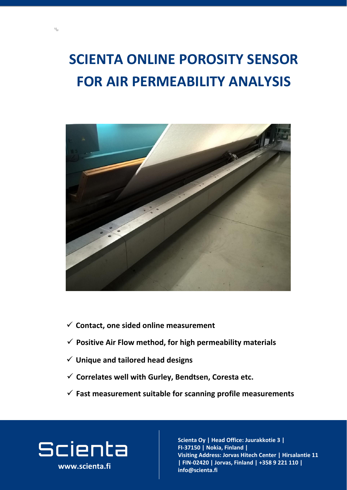## **SCIENTA ONLINE POROSITY SENSOR**

### **FOR AIR PERMEABILITY ANALYSIS**



**www.scienta.fi**

✓ **Correlates well with Gurley, Bendtsen, Coresta etc.**

**Visiting and address and address**<br>The contract and address and a **Joria, Fillianu |**<br>Jorian - Center adress: Jorva **02420 Jorvas, Finland | FIN-02420 | Jorvas, Finland | +358 9 221 110 |**   $\mathsf{info@}$ scienta.fi **Scienta Oy | Head Office: Juurakkotie 3 | FI-37150 | Nokia, Finland | Visiting Address: Jorvas Hitech Center | Hirsalantie 11 info@scienta.fi www.scienta.fi**

- ✓ **Positive Air Flow method, for high permeability materials**
- ✓ **Unique and tailored head designs**
- 

#### ✓ **Contact, one sided online measurement**

#### ✓ **Fast measurement suitable for scanning profile measurements**

# Scienta

 $\mathbb{Z}$